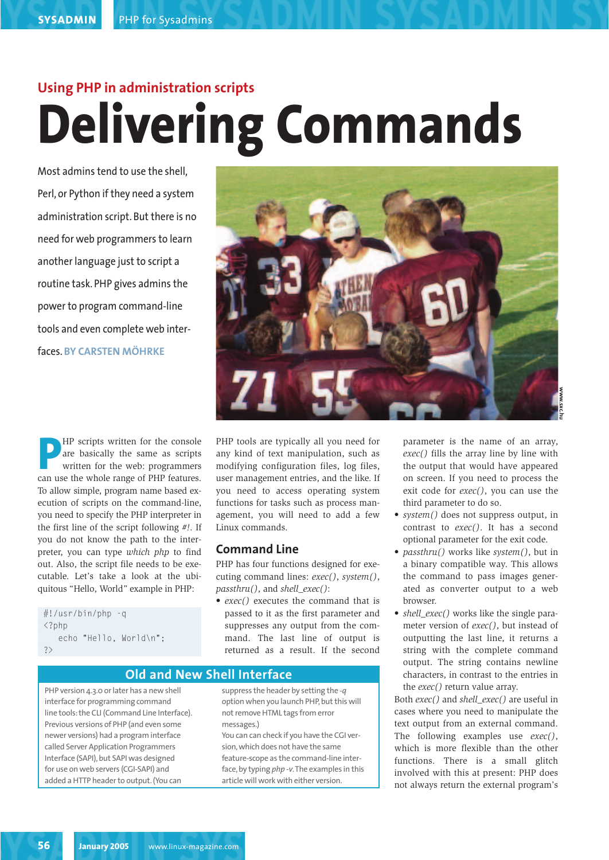# **Using PHP in administration scripts Delivering Commands**

Most admins tend to use the shell, Perl, or Python if they need a system administration script. But there is no need for web programmers to learn another language just to script a routine task. PHP gives admins the power to program command-line tools and even complete web interfaces. **BY CARSTEN MÖHRKE**



**P**HP scripts written for the console<br>are basically the same as scripts<br>written for the web: programmers<br>can use the whole range of PHP features. are basically the same as scripts written for the web: programmers can use the whole range of PHP features. To allow simple, program name based execution of scripts on the command-line, you need to specify the PHP interpreter in the first line of the script following *#!*. If you do not know the path to the interpreter, you can type *which php* to find out. Also, the script file needs to be executable. Let's take a look at the ubiquitous "Hello, World" example in PHP:

#!/usr/bin/php -q  $\langle$ ?php echo "Hello, World\n"; ?>

PHP tools are typically all you need for any kind of text manipulation, such as modifying configuration files, log files, user management entries, and the like. If you need to access operating system functions for tasks such as process management, you will need to add a few Linux commands.

# **Command Line**

PHP has four functions designed for executing command lines: *exec()*, *system()*, *passthru()*, and *shell\_exec()*:

• *exec()* executes the command that is passed to it as the first parameter and suppresses any output from the command. The last line of output is returned as a result. If the second

parameter is the name of an array, *exec()* fills the array line by line with the output that would have appeared on screen. If you need to process the exit code for *exec()*, you can use the third parameter to do so.

- *system()* does not suppress output, in contrast to *exec()*. It has a second optional parameter for the exit code.
- *passthru()* works like *system()*, but in a binary compatible way. This allows the command to pass images generated as converter output to a web browser.
- *shell exec()* works like the single parameter version of *exec()*, but instead of outputting the last line, it returns a string with the complete command output. The string contains newline characters, in contrast to the entries in the *exec()* return value array.

Both *exec()* and *shell\_exec()* are useful in cases where you need to manipulate the text output from an external command. The following examples use *exec()*, which is more flexible than the other functions. There is a small glitch involved with this at present: PHP does not always return the external program's

# **Old and New Shell Interface**

PHP version 4.3.0 or later has a new shell interface for programming command line tools: the CLI (Command Line Interface). Previous versions of PHP (and even some newer versions) had a program interface called Server Application Programmers Interface (SAPI), but SAPI was designed for use on web servers (CGI-SAPI) and added a HTTP header to output. (You can

suppress the header by setting the *-q* option when you launch PHP, but this will not remove HTML tags from error messages.) You can can check if you have the CGI version, which does not have the same feature-scope as the command-line interface, by typing *php -v*.The examples in this article will work with either version.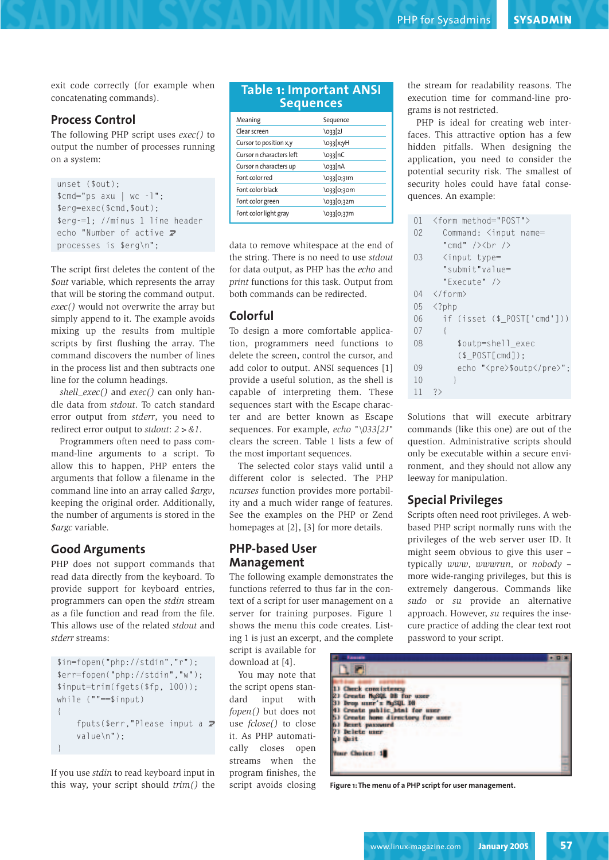exit code correctly (for example when concatenating commands).

#### **Process Control**

The following PHP script uses *exec()* to output the number of processes running on a system:

```
unset ($out);
$cmd="ps axu | wc -l";
$erg=exec($cmd,$out);
$erg-=1; //minus 1 line header
echo "Number of active \overline{z}processes is $erg\n";
```
The script first deletes the content of the *\$out* variable, which represents the array that will be storing the command output. *exec()* would not overwrite the array but simply append to it. The example avoids mixing up the results from multiple scripts by first flushing the array. The command discovers the number of lines in the process list and then subtracts one line for the column headings.

*shell\_exec()* and *exec()* can only handle data from *stdout*. To catch standard error output from *stderr*, you need to redirect error output to *stdout*: *2>&1*.

Programmers often need to pass command-line arguments to a script. To allow this to happen, PHP enters the arguments that follow a filename in the command line into an array called *\$argv*, keeping the original order. Additionally, the number of arguments is stored in the *\$argc* variable.

# **Good Arguments**

PHP does not support commands that read data directly from the keyboard. To provide support for keyboard entries, programmers can open the *stdin* stream as a file function and read from the file. This allows use of the related *stdout* and *stderr* streams:

```
$in=fopen("php://stdin","r");
$err=fopen("php://stdin","w");
$input=trim(fgets($fp, 100));
while (""==$input)
{
    fputs($err, "Please input a \overline{Z}value\n");
}
```
If you use *stdin* to read keyboard input in this way, your script should *trim()* the

#### **Table 1: Important ANSI Sequences**

| Meaning                  | Sequence   |
|--------------------------|------------|
| Clear screen             | \033 2J    |
| Cursor to position x,y   | \033[x;yH  |
| Cursor n characters left | \o33 nC    |
| Cursor n characters up   | \o33 In A  |
| Font color red           | \033 0;31m |
| Font color black         | \033[0;30m |
| Font color green         | \033 0;32m |
| Font color light gray    | \033[0;37m |

data to remove whitespace at the end of the string. There is no need to use *stdout* for data output, as PHP has the *echo* and *print* functions for this task. Output from both commands can be redirected.

# **Colorful**

To design a more comfortable application, programmers need functions to delete the screen, control the cursor, and add color to output. ANSI sequences [1] provide a useful solution, as the shell is capable of interpreting them. These sequences start with the Escape character and are better known as Escape sequences. For example, *echo "\033[2J"* clears the screen. Table 1 lists a few of the most important sequences.

The selected color stays valid until a different color is selected. The PHP *ncurses* function provides more portability and a much wider range of features. See the examples on the PHP or Zend homepages at [2], [3] for more details.

# **PHP-based User Management**

The following example demonstrates the functions referred to thus far in the context of a script for user management on a server for training purposes. Figure 1 shows the menu this code creates. Listing 1 is just an excerpt, and the complete

script is available for download at [4].

You may note that the script opens standard input with *fopen()* but does not use *fclose()* to close it. As PHP automatically closes open streams when the program finishes, the script avoids closing the stream for readability reasons. The execution time for command-line programs is not restricted.

PHP is ideal for creating web interfaces. This attractive option has a few hidden pitfalls. When designing the application, you need to consider the potential security risk. The smallest of security holes could have fatal consequences. An example:

| 01 | <form method="POST"></form>      |
|----|----------------------------------|
| 02 | Command: <input name="&lt;/td"/> |
|    | "cmd" /><br>                     |
| 03 | <input type="&lt;/td"/>          |
|    | "submit"value=                   |
|    | "Fxecute" />                     |
|    | $04 \leq/form$                   |
|    | $05 \quad \langle?^{p}$          |
| 06 | if (isset (\$ POST['cmd']))      |
| 07 | ł                                |
| 08 | \$outp=shell_exec                |
|    | (\$POST[cmd]):                   |
| 09 | echo " <pre>\$outp</pre> ";      |
| 10 | ł                                |
| 11 | ?                                |

Solutions that will execute arbitrary commands (like this one) are out of the question. Administrative scripts should only be executable within a secure environment, and they should not allow any leeway for manipulation.

### **Special Privileges**

Scripts often need root privileges. A webbased PHP script normally runs with the privileges of the web server user ID. It might seem obvious to give this user – typically *www*, *wwwrun,* or *nobody* – more wide-ranging privileges, but this is extremely dangerous. Commands like *sudo* or *su* provide an alternative approach. However, *su* requires the insecure practice of adding the clear text root password to your script.

| <b><i><u>Executive</u></i></b>   |  |
|----------------------------------|--|
|                                  |  |
|                                  |  |
| <b>Check</b> consistmes          |  |
| Create NuMAL DB for user         |  |
| 11 Drop user's MASQL DB          |  |
| 1) Create public himl for user   |  |
| ) Create home directory for user |  |
| Beart password                   |  |
| Delete uner                      |  |
| <b>Dust</b>                      |  |
|                                  |  |
| Your Choice: 1                   |  |
|                                  |  |
|                                  |  |

**Figure 1: The menu of a PHP script for user management.**